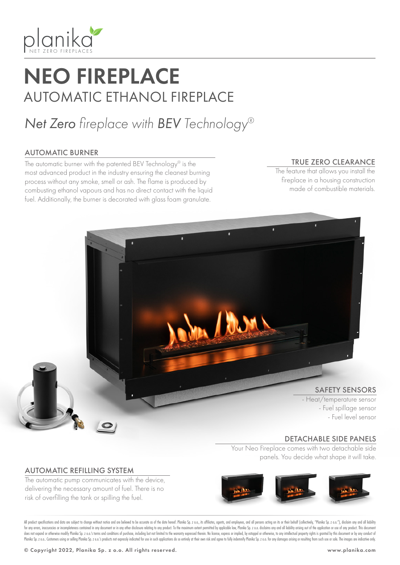

## NEO FIREPLACE AUTOMATIC ETHANOL FIREPLACE

## *Net Zero fireplace with BEV Technology®*

#### AUTOMATIC BURNER

The automatic burner with the patented BEV Technology® is the most advanced product in the industry ensuring the cleanest burning process without any smoke, smell or ash. The flame is produced by combusting ethanol vapours and has no direct contact with the liquid fuel. Additionally, the burner is decorated with glass foam granulate.

#### TRUE ZERO CLEARANCE

The feature that allows you install the fireplace in a housing construction made of combustible materials.



#### DETACHABLE SIDE PANELS

Your Neo Fireplace comes with two detachable side panels. You decide what shape it will take.

#### AUTOMATIC REFILLING SYSTEM

The automatic pump communicates with the device, delivering the necessary amount of fuel. There is no risk of overfilling the tank or spilling the fuel.



All product specifications and data are subject to change without notice and are believed to be accurate as of the date hereof. Planika Sp. z o.o., its affiliates, agents, and employees, and all persons acting on its or th for any errors, inaccuracies or incompleteness contained in any document or in any other disclosure relating to any product. To the maximum extent permitted by applicable law, Planika Sp. z o.o. disclaims any and all liabi does not expand or otherwise modify Planika Sp. z o.o.'s terms and conditions of purchase, including but not limited to the warranty expressed therein. No license, express or implied, by estoppel or otherwise, to any intel Planika Sp. z o.o. Customers using or selling Planika Sp. z o.o.'s products not expressly indicated for use in such applications do so entirely at their own risk and agree to fully indemnify Planika Sp. z o.o. for any dama